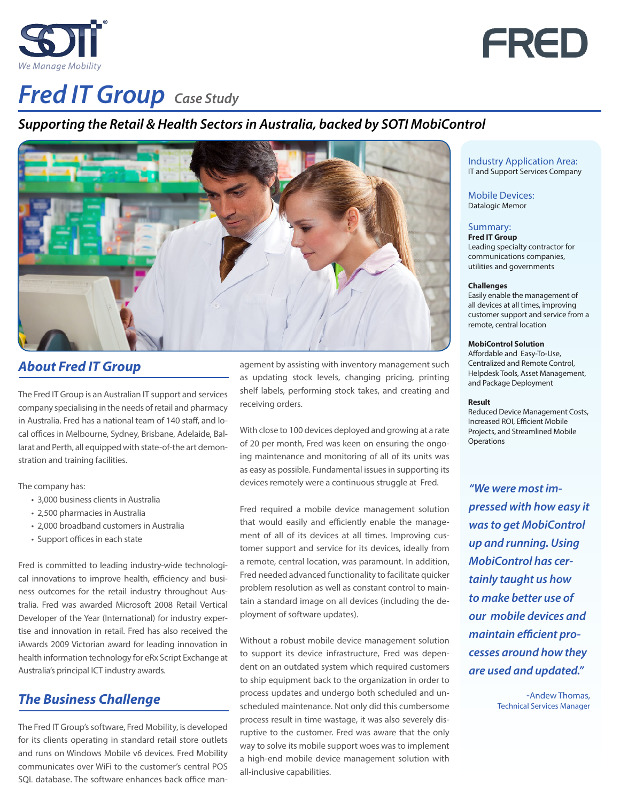



# **Fred IT Group** Case Study

# *Supporting the Retail & Health Sectors in Australia, backed by SOTI MobiControl*



## *About Fred IT Group*

The Fred IT Group is an Australian IT support and services company specialising in the needs of retail and pharmacy in Australia. Fred has a national team of 140 staff, and local offices in Melbourne, Sydney, Brisbane, Adelaide, Ballarat and Perth, all equipped with state-of-the art demonstration and training facilities.

The company has:

- 3,000 business clients in Australia
- 2,500 pharmacies in Australia
- 2,000 broadband customers in Australia
- Support offices in each state

Fred is committed to leading industry-wide technological innovations to improve health, efficiency and business outcomes for the retail industry throughout Australia. Fred was awarded Microsoft 2008 Retail Vertical Developer of the Year (International) for industry expertise and innovation in retail. Fred has also received the iAwards 2009 Victorian award for leading innovation in health information technology for eRx Script Exchange at Australia's principal ICT industry awards.

# *The Business Challenge*

The Fred IT Group's software, Fred Mobility, is developed for its clients operating in standard retail store outlets and runs on Windows Mobile v6 devices. Fred Mobility communicates over WiFi to the customer's central POS SQL database. The software enhances back office management by assisting with inventory management such as updating stock levels, changing pricing, printing shelf labels, performing stock takes, and creating and receiving orders.

With close to 100 devices deployed and growing at a rate of 20 per month, Fred was keen on ensuring the ongoing maintenance and monitoring of all of its units was as easy as possible. Fundamental issues in supporting its devices remotely were a continuous struggle at Fred.

Fred required a mobile device management solution that would easily and efficiently enable the management of all of its devices at all times. Improving customer support and service for its devices, ideally from a remote, central location, was paramount. In addition, Fred needed advanced functionality to facilitate quicker problem resolution as well as constant control to maintain a standard image on all devices (including the deployment of software updates).

Without a robust mobile device management solution to support its device infrastructure, Fred was dependent on an outdated system which required customers to ship equipment back to the organization in order to process updates and undergo both scheduled and unscheduled maintenance. Not only did this cumbersome process result in time wastage, it was also severely disruptive to the customer. Fred was aware that the only way to solve its mobile support woes was to implement a high-end mobile device management solution with all-inclusive capabilities.

#### Industry Application Area: IT and Support Services Company

Mobile Devices: Datalogic Memor

#### Summary:

**Fred IT Group** Leading specialty contractor for communications companies, utilities and governments

#### **Challenges**

Easily enable the management of all devices at all times, improving customer support and service from a remote, central location

#### **MobiControl Solution**

Affordable and Easy-To-Use, Centralized and Remote Control, Helpdesk Tools, Asset Management, and Package Deployment

#### **Result**

Reduced Device Management Costs, Increased ROI, Efficient Mobile Projects, and Streamlined Mobile **Operations** 

*"We were most impressed with how easy it was to get MobiControl up and running. Using MobiControl has certainly taught us how to make better use of our mobile devices and maintain efficient processes around how they are used and updated."* 

> -Andew Thomas, Technical Services Manager